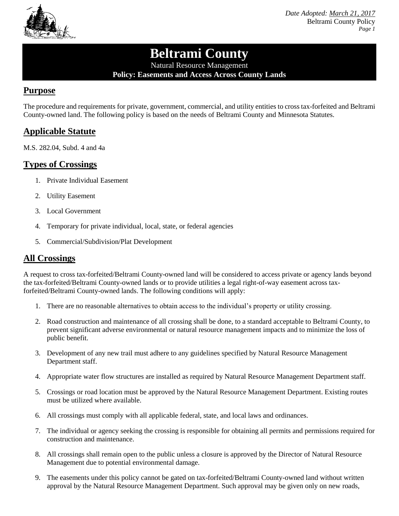

*Date Adopted: March 21, 2017* Beltrami County Policy *Page 1*

# **Beltrami County**

Natural Resource Management **Policy: Easements and Access Across County Lands**

## **Purpose**

The procedure and requirements for private, government, commercial, and utility entities to cross tax-forfeited and Beltrami County-owned land. The following policy is based on the needs of Beltrami County and Minnesota Statutes.

# **Applicable Statute**

M.S. 282.04, Subd. 4 and 4a

# **Types of Crossings**

- 1. Private Individual Easement
- 2. Utility Easement
- 3. Local Government
- 4. Temporary for private individual, local, state, or federal agencies
- 5. Commercial/Subdivision/Plat Development

## **All Crossings**

A request to cross tax-forfeited/Beltrami County-owned land will be considered to access private or agency lands beyond the tax-forfeited/Beltrami County-owned lands or to provide utilities a legal right-of-way easement across taxforfeited/Beltrami County-owned lands. The following conditions will apply:

- 1. There are no reasonable alternatives to obtain access to the individual's property or utility crossing.
- 2. Road construction and maintenance of all crossing shall be done, to a standard acceptable to Beltrami County, to prevent significant adverse environmental or natural resource management impacts and to minimize the loss of public benefit.
- 3. Development of any new trail must adhere to any guidelines specified by Natural Resource Management Department staff.
- 4. Appropriate water flow structures are installed as required by Natural Resource Management Department staff.
- 5. Crossings or road location must be approved by the Natural Resource Management Department. Existing routes must be utilized where available.
- 6. All crossings must comply with all applicable federal, state, and local laws and ordinances.
- 7. The individual or agency seeking the crossing is responsible for obtaining all permits and permissions required for construction and maintenance.
- 8. All crossings shall remain open to the public unless a closure is approved by the Director of Natural Resource Management due to potential environmental damage.
- 9. The easements under this policy cannot be gated on tax-forfeited/Beltrami County-owned land without written approval by the Natural Resource Management Department. Such approval may be given only on new roads,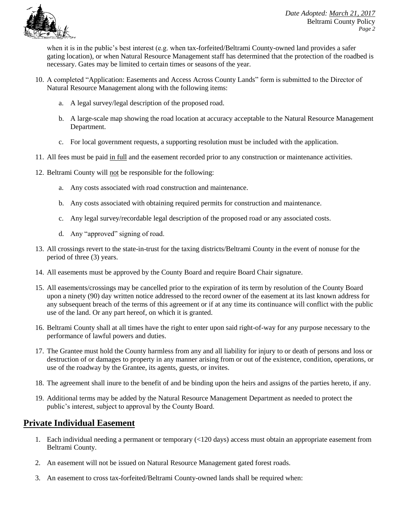

when it is in the public's best interest (e.g. when tax-forfeited/Beltrami County-owned land provides a safer gating location), or when Natural Resource Management staff has determined that the protection of the roadbed is necessary. Gates may be limited to certain times or seasons of the year.

- 10. A completed "Application: Easements and Access Across County Lands" form is submitted to the Director of Natural Resource Management along with the following items:
	- a. A legal survey/legal description of the proposed road.
	- b. A large-scale map showing the road location at accuracy acceptable to the Natural Resource Management Department.
	- c. For local government requests, a supporting resolution must be included with the application.
- 11. All fees must be paid in full and the easement recorded prior to any construction or maintenance activities.
- 12. Beltrami County will not be responsible for the following:
	- a. Any costs associated with road construction and maintenance.
	- b. Any costs associated with obtaining required permits for construction and maintenance.
	- c. Any legal survey/recordable legal description of the proposed road or any associated costs.
	- d. Any "approved" signing of road.
- 13. All crossings revert to the state-in-trust for the taxing districts/Beltrami County in the event of nonuse for the period of three (3) years.
- 14. All easements must be approved by the County Board and require Board Chair signature.
- 15. All easements/crossings may be cancelled prior to the expiration of its term by resolution of the County Board upon a ninety (90) day written notice addressed to the record owner of the easement at its last known address for any subsequent breach of the terms of this agreement or if at any time its continuance will conflict with the public use of the land. Or any part hereof, on which it is granted.
- 16. Beltrami County shall at all times have the right to enter upon said right-of-way for any purpose necessary to the performance of lawful powers and duties.
- 17. The Grantee must hold the County harmless from any and all liability for injury to or death of persons and loss or destruction of or damages to property in any manner arising from or out of the existence, condition, operations, or use of the roadway by the Grantee, its agents, guests, or invites.
- 18. The agreement shall inure to the benefit of and be binding upon the heirs and assigns of the parties hereto, if any.
- 19. Additional terms may be added by the Natural Resource Management Department as needed to protect the public's interest, subject to approval by the County Board.

## **Private Individual Easement**

- 1. Each individual needing a permanent or temporary (<120 days) access must obtain an appropriate easement from Beltrami County.
- 2. An easement will not be issued on Natural Resource Management gated forest roads.
- 3. An easement to cross tax-forfeited/Beltrami County-owned lands shall be required when: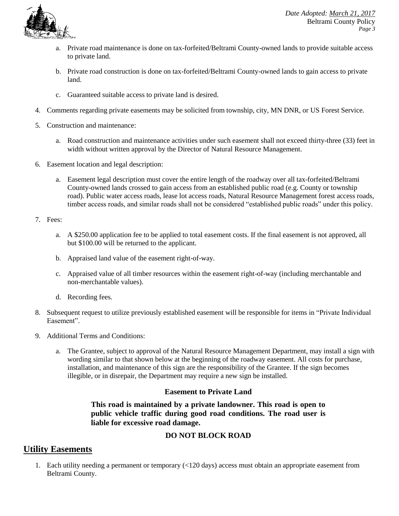

- a. Private road maintenance is done on tax-forfeited/Beltrami County-owned lands to provide suitable access to private land.
- b. Private road construction is done on tax-forfeited/Beltrami County-owned lands to gain access to private land.
- c. Guaranteed suitable access to private land is desired.
- 4. Comments regarding private easements may be solicited from township, city, MN DNR, or US Forest Service.
- 5. Construction and maintenance:
	- a. Road construction and maintenance activities under such easement shall not exceed thirty-three (33) feet in width without written approval by the Director of Natural Resource Management.
- 6. Easement location and legal description:
	- a. Easement legal description must cover the entire length of the roadway over all tax-forfeited/Beltrami County-owned lands crossed to gain access from an established public road (e.g. County or township road). Public water access roads, lease lot access roads, Natural Resource Management forest access roads, timber access roads, and similar roads shall not be considered "established public roads" under this policy.
- 7. Fees:
	- a. A \$250.00 application fee to be applied to total easement costs. If the final easement is not approved, all but \$100.00 will be returned to the applicant.
	- b. Appraised land value of the easement right-of-way.
	- c. Appraised value of all timber resources within the easement right-of-way (including merchantable and non-merchantable values).
	- d. Recording fees.
- 8. Subsequent request to utilize previously established easement will be responsible for items in "Private Individual Easement".
- 9. Additional Terms and Conditions:
	- a. The Grantee, subject to approval of the Natural Resource Management Department, may install a sign with wording similar to that shown below at the beginning of the roadway easement. All costs for purchase, installation, and maintenance of this sign are the responsibility of the Grantee. If the sign becomes illegible, or in disrepair, the Department may require a new sign be installed.

### **Easement to Private Land**

**This road is maintained by a private landowner. This road is open to public vehicle traffic during good road conditions. The road user is liable for excessive road damage.**

## **DO NOT BLOCK ROAD**

## **Utility Easements**

1. Each utility needing a permanent or temporary (<120 days) access must obtain an appropriate easement from Beltrami County.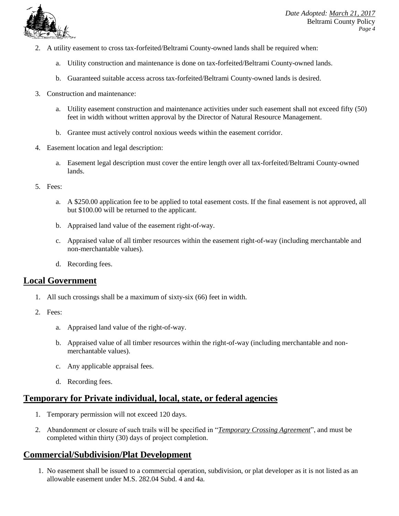

- 2. A utility easement to cross tax-forfeited/Beltrami County-owned lands shall be required when:
	- a. Utility construction and maintenance is done on tax-forfeited/Beltrami County-owned lands.
	- b. Guaranteed suitable access across tax-forfeited/Beltrami County-owned lands is desired.
- 3. Construction and maintenance:
	- a. Utility easement construction and maintenance activities under such easement shall not exceed fifty (50) feet in width without written approval by the Director of Natural Resource Management.
	- b. Grantee must actively control noxious weeds within the easement corridor.
- 4. Easement location and legal description:
	- a. Easement legal description must cover the entire length over all tax-forfeited/Beltrami County-owned lands.
- 5. Fees:
	- a. A \$250.00 application fee to be applied to total easement costs. If the final easement is not approved, all but \$100.00 will be returned to the applicant.
	- b. Appraised land value of the easement right-of-way.
	- c. Appraised value of all timber resources within the easement right-of-way (including merchantable and non-merchantable values).
	- d. Recording fees.

## **Local Government**

- 1. All such crossings shall be a maximum of sixty-six (66) feet in width.
- 2. Fees:
	- a. Appraised land value of the right-of-way.
	- b. Appraised value of all timber resources within the right-of-way (including merchantable and nonmerchantable values).
	- c. Any applicable appraisal fees.
	- d. Recording fees.

# **Temporary for Private individual, local, state, or federal agencies**

- 1. Temporary permission will not exceed 120 days.
- 2. Abandonment or closure of such trails will be specified in "*Temporary Crossing Agreement*", and must be completed within thirty (30) days of project completion.

# **Commercial/Subdivision/Plat Development**

1. No easement shall be issued to a commercial operation, subdivision, or plat developer as it is not listed as an allowable easement under M.S. 282.04 Subd. 4 and 4a.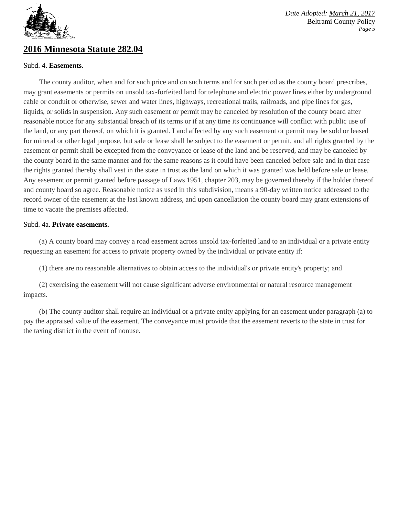

## **2016 Minnesota Statute 282.04**

#### Subd. 4. **Easements.**

*Date Adopted: March 21, 2017* Beltrami County Policy *Page 5*

The county auditor, when and for such price and on such terms and for such period as the county board prescribes, may grant easements or permits on unsold tax-forfeited land for telephone and electric power lines either by underground cable or conduit or otherwise, sewer and water lines, highways, recreational trails, railroads, and pipe lines for gas, liquids, or solids in suspension. Any such easement or permit may be canceled by resolution of the county board after reasonable notice for any substantial breach of its terms or if at any time its continuance will conflict with public use of the land, or any part thereof, on which it is granted. Land affected by any such easement or permit may be sold or leased for mineral or other legal purpose, but sale or lease shall be subject to the easement or permit, and all rights granted by the easement or permit shall be excepted from the conveyance or lease of the land and be reserved, and may be canceled by the county board in the same manner and for the same reasons as it could have been canceled before sale and in that case the rights granted thereby shall vest in the state in trust as the land on which it was granted was held before sale or lease. Any easement or permit granted before passage of Laws 1951, chapter 203, may be governed thereby if the holder thereof and county board so agree. Reasonable notice as used in this subdivision, means a 90-day written notice addressed to the record owner of the easement at the last known address, and upon cancellation the county board may grant extensions of time to vacate the premises affected.

#### Subd. 4a. **Private easements.**

(a) A county board may convey a road easement across unsold tax-forfeited land to an individual or a private entity requesting an easement for access to private property owned by the individual or private entity if:

(1) there are no reasonable alternatives to obtain access to the individual's or private entity's property; and

(2) exercising the easement will not cause significant adverse environmental or natural resource management impacts.

(b) The county auditor shall require an individual or a private entity applying for an easement under paragraph (a) to pay the appraised value of the easement. The conveyance must provide that the easement reverts to the state in trust for the taxing district in the event of nonuse.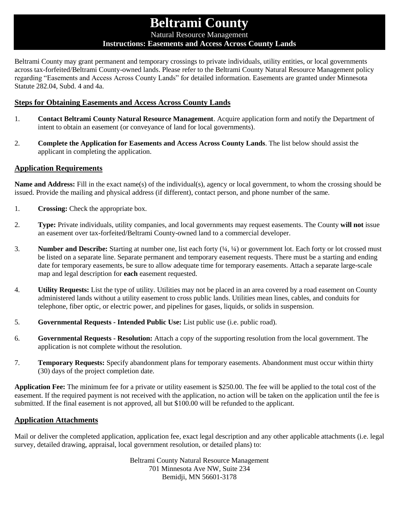# **Beltrami County**

Natural Resource Management

#### **Instructions: Easements and Access Across County Lands**

Beltrami County may grant permanent and temporary crossings to private individuals, utility entities, or local governments across tax-forfeited/Beltrami County-owned lands. Please refer to the Beltrami County Natural Resource Management policy regarding "Easements and Access Across County Lands" for detailed information. Easements are granted under Minnesota Statute 282.04, Subd. 4 and 4a.

### **Steps for Obtaining Easements and Access Across County Lands**

- 1. **Contact Beltrami County Natural Resource Management**. Acquire application form and notify the Department of intent to obtain an easement (or conveyance of land for local governments).
- 2. **Complete the Application for Easements and Access Across County Lands**. The list below should assist the applicant in completing the application.

#### **Application Requirements**

**Name and Address:** Fill in the exact name(s) of the individual(s), agency or local government, to whom the crossing should be issued. Provide the mailing and physical address (if different), contact person, and phone number of the same.

- 1. **Crossing:** Check the appropriate box.
- 2. **Type:** Private individuals, utility companies, and local governments may request easements. The County **will not** issue an easement over tax-forfeited/Beltrami County-owned land to a commercial developer.
- 3. **Number and Describe:** Starting at number one, list each forty (¼, ¼) or government lot. Each forty or lot crossed must be listed on a separate line. Separate permanent and temporary easement requests. There must be a starting and ending date for temporary easements, be sure to allow adequate time for temporary easements. Attach a separate large-scale map and legal description for **each** easement requested.
- 4. **Utility Requests:** List the type of utility. Utilities may not be placed in an area covered by a road easement on County administered lands without a utility easement to cross public lands. Utilities mean lines, cables, and conduits for telephone, fiber optic, or electric power, and pipelines for gases, liquids, or solids in suspension.
- 5. **Governmental Requests - Intended Public Use:** List public use (i.e. public road).
- 6. **Governmental Requests - Resolution:** Attach a copy of the supporting resolution from the local government. The application is not complete without the resolution.
- 7. **Temporary Requests:** Specify abandonment plans for temporary easements. Abandonment must occur within thirty (30) days of the project completion date.

**Application Fee:** The minimum fee for a private or utility easement is \$250.00. The fee will be applied to the total cost of the easement. If the required payment is not received with the application, no action will be taken on the application until the fee is submitted. If the final easement is not approved, all but \$100.00 will be refunded to the applicant.

#### **Application Attachments**

Mail or deliver the completed application, application fee, exact legal description and any other applicable attachments (i.e. legal survey, detailed drawing, appraisal, local government resolution, or detailed plans) to:

> Beltrami County Natural Resource Management 701 Minnesota Ave NW, Suite 234 Bemidji, MN 56601-3178